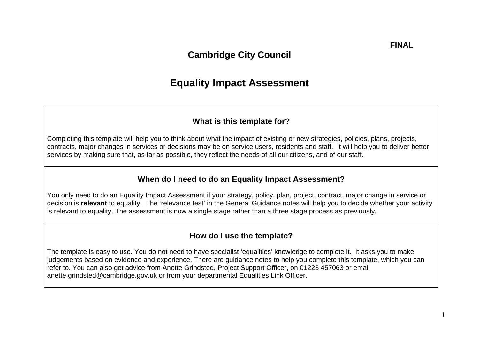## **Cambridge City Council**

# **Equality Impact Assessment**

### **What is this template for?**

Completing this template will help you to think about what the impact of existing or new strategies, policies, plans, projects, contracts, major changes in services or decisions may be on service users, residents and staff. It will help you to deliver better services by making sure that, as far as possible, they reflect the needs of all our citizens, and of our staff.

#### **When do I need to do an Equality Impact Assessment?**

You only need to do an Equality Impact Assessment if your strategy, policy, plan, project, contract, major change in service or decision is **relevant** to equality. The 'relevance test' in the General Guidance notes will help you to decide whether your activity is relevant to equality. The assessment is now a single stage rather than a three stage process as previously.

#### **How do I use the template?**

The template is easy to use. You do not need to have specialist 'equalities' knowledge to complete it. It asks you to make judgements based on evidence and experience. There are guidance notes to help you complete this template, which you can refer to. You can also get advice from Anette Grindsted, Project Support Officer, on 01223 457063 or email anette.grindsted@cambridge.gov.uk or from your departmental Equalities Link Officer.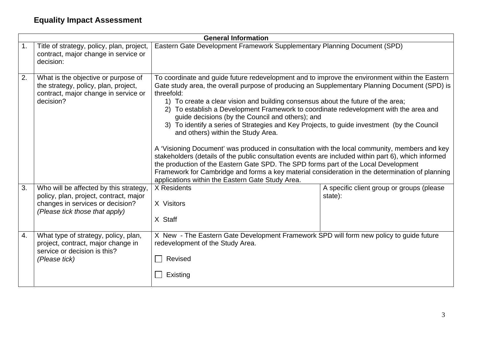|                |                                                                                                                                                        | <b>General Information</b>                                                                                                                                                                                                                                                                                                                                                                                                                                                                                                                                                                                                                                                                                                                                                                                                                                                                                                                                                                                                                |                                                      |
|----------------|--------------------------------------------------------------------------------------------------------------------------------------------------------|-------------------------------------------------------------------------------------------------------------------------------------------------------------------------------------------------------------------------------------------------------------------------------------------------------------------------------------------------------------------------------------------------------------------------------------------------------------------------------------------------------------------------------------------------------------------------------------------------------------------------------------------------------------------------------------------------------------------------------------------------------------------------------------------------------------------------------------------------------------------------------------------------------------------------------------------------------------------------------------------------------------------------------------------|------------------------------------------------------|
| $\mathbf{1}$ . | Title of strategy, policy, plan, project,<br>contract, major change in service or<br>decision:                                                         | Eastern Gate Development Framework Supplementary Planning Document (SPD)                                                                                                                                                                                                                                                                                                                                                                                                                                                                                                                                                                                                                                                                                                                                                                                                                                                                                                                                                                  |                                                      |
| 2.             | What is the objective or purpose of<br>the strategy, policy, plan, project,<br>contract, major change in service or<br>decision?                       | To coordinate and guide future redevelopment and to improve the environment within the Eastern<br>Gate study area, the overall purpose of producing an Supplementary Planning Document (SPD) is<br>threefold:<br>1) To create a clear vision and building consensus about the future of the area;<br>2) To establish a Development Framework to coordinate redevelopment with the area and<br>guide decisions (by the Council and others); and<br>3) To identify a series of Strategies and Key Projects, to guide investment (by the Council<br>and others) within the Study Area.<br>A 'Visioning Document' was produced in consultation with the local community, members and key<br>stakeholders (details of the public consultation events are included within part 6), which informed<br>the production of the Eastern Gate SPD. The SPD forms part of the Local Development<br>Framework for Cambridge and forms a key material consideration in the determination of planning<br>applications within the Eastern Gate Study Area. |                                                      |
| 3.             | Who will be affected by this strategy,<br>policy, plan, project, contract, major<br>changes in services or decision?<br>(Please tick those that apply) | X Residents<br>X Visitors<br>X Staff                                                                                                                                                                                                                                                                                                                                                                                                                                                                                                                                                                                                                                                                                                                                                                                                                                                                                                                                                                                                      | A specific client group or groups (please<br>state): |
| 4.             | What type of strategy, policy, plan,<br>project, contract, major change in<br>service or decision is this?<br>(Please tick)                            | X New - The Eastern Gate Development Framework SPD will form new policy to guide future<br>redevelopment of the Study Area.<br>Revised<br>Existing                                                                                                                                                                                                                                                                                                                                                                                                                                                                                                                                                                                                                                                                                                                                                                                                                                                                                        |                                                      |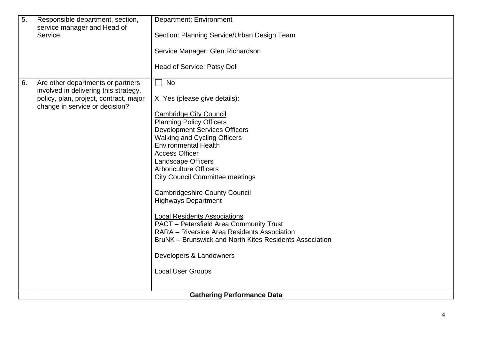| 5. | Responsible department, section,                                           | <b>Department: Environment</b>                                     |
|----|----------------------------------------------------------------------------|--------------------------------------------------------------------|
|    | service manager and Head of<br>Service.                                    | Section: Planning Service/Urban Design Team                        |
|    |                                                                            |                                                                    |
|    |                                                                            | Service Manager: Glen Richardson                                   |
|    |                                                                            | Head of Service: Patsy Dell                                        |
| 6. | Are other departments or partners<br>involved in delivering this strategy, | <b>No</b><br>$\blacksquare$                                        |
|    | policy, plan, project, contract, major<br>change in service or decision?   | X Yes (please give details):                                       |
|    |                                                                            | <b>Cambridge City Council</b>                                      |
|    |                                                                            | <b>Planning Policy Officers</b>                                    |
|    |                                                                            | <b>Development Services Officers</b>                               |
|    |                                                                            | <b>Walking and Cycling Officers</b><br><b>Environmental Health</b> |
|    |                                                                            | <b>Access Officer</b>                                              |
|    |                                                                            | <b>Landscape Officers</b>                                          |
|    |                                                                            | <b>Arboriculture Officers</b>                                      |
|    |                                                                            | <b>City Council Committee meetings</b>                             |
|    |                                                                            | <b>Cambridgeshire County Council</b>                               |
|    |                                                                            | <b>Highways Department</b>                                         |
|    |                                                                            | <b>Local Residents Associations</b>                                |
|    |                                                                            | PACT - Petersfield Area Community Trust                            |
|    |                                                                            | RARA - Riverside Area Residents Association                        |
|    |                                                                            | BruNK – Brunswick and North Kites Residents Association            |
|    |                                                                            | Developers & Landowners                                            |
|    |                                                                            | <b>Local User Groups</b>                                           |
|    |                                                                            |                                                                    |
|    |                                                                            | <b>Gathering Performance Data</b>                                  |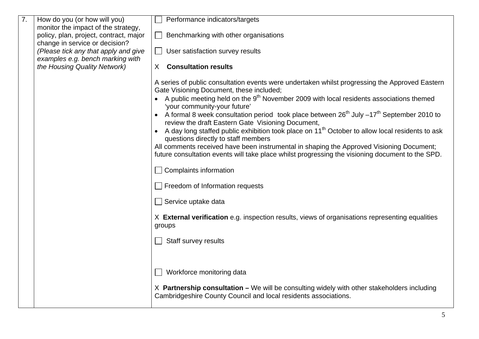| $\overline{7}$ . | How do you (or how will you)                                             | Performance indicators/targets                                                                                                                            |
|------------------|--------------------------------------------------------------------------|-----------------------------------------------------------------------------------------------------------------------------------------------------------|
|                  | monitor the impact of the strategy,                                      |                                                                                                                                                           |
|                  | policy, plan, project, contract, major                                   | Benchmarking with other organisations                                                                                                                     |
|                  | change in service or decision?                                           |                                                                                                                                                           |
|                  | (Please tick any that apply and give<br>examples e.g. bench marking with | User satisfaction survey results<br>$\sim$                                                                                                                |
|                  | the Housing Quality Network)                                             | <b>Consultation results</b><br>X                                                                                                                          |
|                  |                                                                          |                                                                                                                                                           |
|                  |                                                                          | A series of public consultation events were undertaken whilst progressing the Approved Eastern                                                            |
|                  |                                                                          | Gate Visioning Document, these included;                                                                                                                  |
|                  |                                                                          | • A public meeting held on the $9th$ November 2009 with local residents associations themed                                                               |
|                  |                                                                          | 'your community-your future'                                                                                                                              |
|                  |                                                                          | • A formal 8 week consultation period took place between $26^{th}$ July $-17^{th}$ September 2010 to<br>review the draft Eastern Gate Visioning Document, |
|                  |                                                                          | A day long staffed public exhibition took place on $11th$ October to allow local residents to ask<br>questions directly to staff members                  |
|                  |                                                                          | All comments received have been instrumental in shaping the Approved Visioning Document;                                                                  |
|                  |                                                                          | future consultation events will take place whilst progressing the visioning document to the SPD.                                                          |
|                  |                                                                          |                                                                                                                                                           |
|                  |                                                                          | <b>Complaints information</b>                                                                                                                             |
|                  |                                                                          | Freedom of Information requests                                                                                                                           |
|                  |                                                                          | Service uptake data                                                                                                                                       |
|                  |                                                                          | X External verification e.g. inspection results, views of organisations representing equalities                                                           |
|                  |                                                                          | groups                                                                                                                                                    |
|                  |                                                                          | Staff survey results                                                                                                                                      |
|                  |                                                                          |                                                                                                                                                           |
|                  |                                                                          |                                                                                                                                                           |
|                  |                                                                          | Workforce monitoring data                                                                                                                                 |
|                  |                                                                          |                                                                                                                                                           |
|                  |                                                                          | $X$ Partnership consultation – We will be consulting widely with other stakeholders including                                                             |
|                  |                                                                          | Cambridgeshire County Council and local residents associations.                                                                                           |
|                  |                                                                          |                                                                                                                                                           |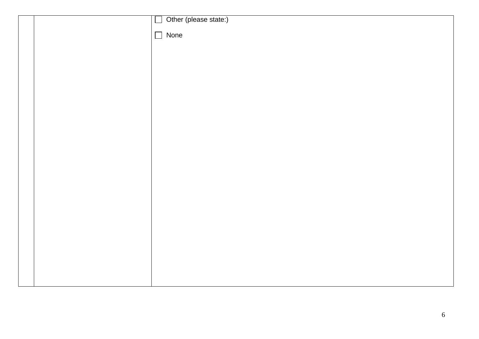|  | Other (please state:)<br>$\Box$ |
|--|---------------------------------|
|  |                                 |
|  | $\Box$ None                     |
|  |                                 |
|  |                                 |
|  |                                 |
|  |                                 |
|  |                                 |
|  |                                 |
|  |                                 |
|  |                                 |
|  |                                 |
|  |                                 |
|  |                                 |
|  |                                 |
|  |                                 |
|  |                                 |
|  |                                 |
|  |                                 |
|  |                                 |
|  |                                 |
|  |                                 |
|  |                                 |
|  |                                 |
|  |                                 |
|  |                                 |
|  |                                 |
|  |                                 |
|  |                                 |
|  |                                 |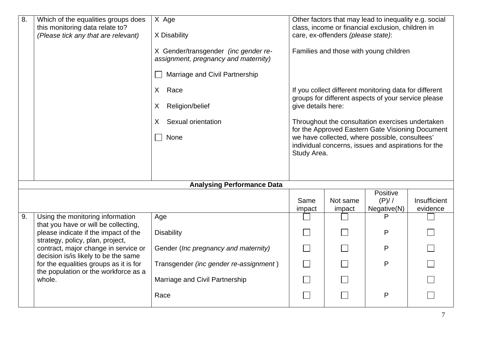| $\overline{8}$ . | Which of the equalities groups does<br>this monitoring data relate to?<br>(Please tick any that are relevant)    | X Age<br>X Disability<br>X Gender/transgender (inc gender re-          |                             | care, ex-offenders (please state): | Other factors that may lead to inequality e.g. social<br>class, income or financial exclusion, children in<br>Families and those with young children   |                          |
|------------------|------------------------------------------------------------------------------------------------------------------|------------------------------------------------------------------------|-----------------------------|------------------------------------|--------------------------------------------------------------------------------------------------------------------------------------------------------|--------------------------|
|                  |                                                                                                                  | assignment, pregnancy and maternity)<br>Marriage and Civil Partnership |                             |                                    |                                                                                                                                                        |                          |
|                  |                                                                                                                  | X Race<br>Religion/belief<br>X                                         | give details here:          |                                    | If you collect different monitoring data for different<br>groups for different aspects of your service please                                          |                          |
|                  |                                                                                                                  | Sexual orientation<br>X<br>None                                        |                             |                                    | Throughout the consultation exercises undertaken<br>for the Approved Eastern Gate Visioning Document<br>we have collected, where possible, consultees' |                          |
|                  |                                                                                                                  |                                                                        | Study Area.                 |                                    | individual concerns, issues and aspirations for the                                                                                                    |                          |
|                  |                                                                                                                  | <b>Analysing Performance Data</b>                                      |                             |                                    |                                                                                                                                                        |                          |
|                  |                                                                                                                  |                                                                        | Same<br>impact              | Not same<br>impact                 | Positive<br>(P)//<br>Negative(N)                                                                                                                       | Insufficient<br>evidence |
| 9.               | Using the monitoring information                                                                                 | Age                                                                    |                             |                                    | P                                                                                                                                                      |                          |
|                  | that you have or will be collecting,<br>please indicate if the impact of the<br>strategy, policy, plan, project, | <b>Disability</b>                                                      | $\mathcal{L}_{\mathcal{A}}$ |                                    | P                                                                                                                                                      |                          |
|                  | contract, major change in service or<br>decision is/is likely to be the same                                     | Gender (Inc pregnancy and maternity)                                   |                             |                                    | P                                                                                                                                                      |                          |
|                  | for the equalities groups as it is for<br>the population or the workforce as a                                   | Transgender (inc gender re-assignment)                                 |                             |                                    | P                                                                                                                                                      |                          |
|                  | whole.                                                                                                           | Marriage and Civil Partnership                                         |                             |                                    |                                                                                                                                                        |                          |
|                  |                                                                                                                  | Race                                                                   |                             |                                    | P                                                                                                                                                      |                          |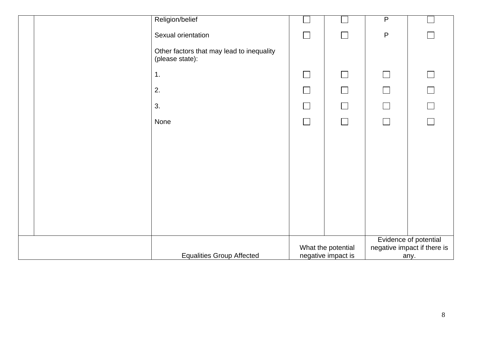| Religion/belief                                              |                             |                          | $\overline{P}$ |                                                      |
|--------------------------------------------------------------|-----------------------------|--------------------------|----------------|------------------------------------------------------|
| Sexual orientation                                           |                             | $\Box$                   | $\mathsf{P}$   |                                                      |
| Other factors that may lead to inequality<br>(please state): |                             |                          |                |                                                      |
| 1.                                                           | $\Box$                      | $\Box$                   | $\Box$         |                                                      |
| 2.                                                           | $\overline{\phantom{a}}$    | $\Box$                   | $\Box$         |                                                      |
| 3.                                                           | $\mathcal{L}_{\mathcal{A}}$ | $\Box$                   | $\Box$         | $\Box$                                               |
| None                                                         | $\Box$                      | $\overline{\phantom{a}}$ | $\Box$         |                                                      |
|                                                              |                             |                          |                |                                                      |
|                                                              |                             |                          |                |                                                      |
|                                                              |                             |                          |                |                                                      |
|                                                              |                             |                          |                |                                                      |
|                                                              |                             |                          |                |                                                      |
|                                                              |                             |                          |                |                                                      |
|                                                              |                             |                          |                |                                                      |
|                                                              |                             | What the potential       |                | Evidence of potential<br>negative impact if there is |
| <b>Equalities Group Affected</b>                             |                             | negative impact is       |                | any.                                                 |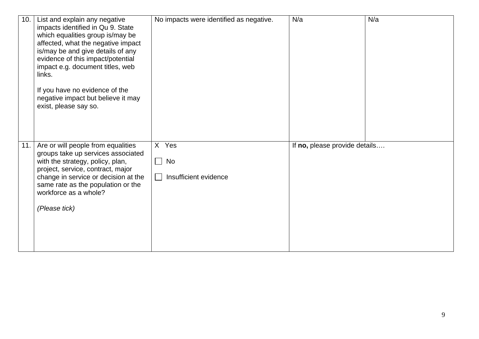| 10. | List and explain any negative<br>impacts identified in Qu 9. State<br>which equalities group is/may be<br>affected, what the negative impact<br>is/may be and give details of any<br>evidence of this impact/potential<br>impact e.g. document titles, web<br>links.<br>If you have no evidence of the<br>negative impact but believe it may<br>exist, please say so. | No impacts were identified as negative.     | N/a                           | N/a |
|-----|-----------------------------------------------------------------------------------------------------------------------------------------------------------------------------------------------------------------------------------------------------------------------------------------------------------------------------------------------------------------------|---------------------------------------------|-------------------------------|-----|
| 11. | Are or will people from equalities<br>groups take up services associated<br>with the strategy, policy, plan,<br>project, service, contract, major<br>change in service or decision at the<br>same rate as the population or the<br>workforce as a whole?<br>(Please tick)                                                                                             | X Yes<br>$\Box$ No<br>Insufficient evidence | If no, please provide details |     |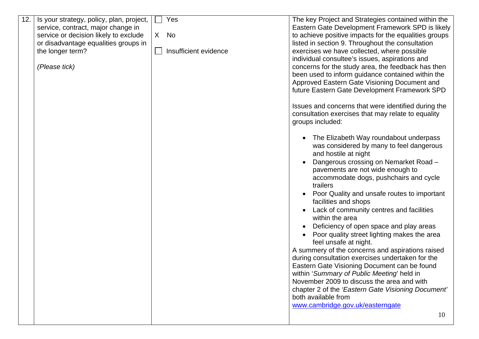| 12. | Is your strategy, policy, plan, project, | Yes                   | The key Project and Strategies contained within the         |
|-----|------------------------------------------|-----------------------|-------------------------------------------------------------|
|     | service, contract, major change in       |                       | Eastern Gate Development Framework SPD is likely            |
|     | service or decision likely to exclude    | X No                  | to achieve positive impacts for the equalities groups       |
|     | or disadvantage equalities groups in     |                       | listed in section 9. Throughout the consultation            |
|     | the longer term?                         | Insufficient evidence | exercises we have collected, where possible                 |
|     |                                          |                       | individual consultee's issues, aspirations and              |
|     | (Please tick)                            |                       | concerns for the study area, the feedback has then          |
|     |                                          |                       | been used to inform guidance contained within the           |
|     |                                          |                       | Approved Eastern Gate Visioning Document and                |
|     |                                          |                       | future Eastern Gate Development Framework SPD               |
|     |                                          |                       | Issues and concerns that were identified during the         |
|     |                                          |                       | consultation exercises that may relate to equality          |
|     |                                          |                       | groups included:                                            |
|     |                                          |                       | The Elizabeth Way roundabout underpass                      |
|     |                                          |                       | was considered by many to feel dangerous                    |
|     |                                          |                       | and hostile at night                                        |
|     |                                          |                       | Dangerous crossing on Nemarket Road -                       |
|     |                                          |                       | pavements are not wide enough to                            |
|     |                                          |                       | accommodate dogs, pushchairs and cycle                      |
|     |                                          |                       | trailers                                                    |
|     |                                          |                       | Poor Quality and unsafe routes to important                 |
|     |                                          |                       | facilities and shops                                        |
|     |                                          |                       | Lack of community centres and facilities<br>within the area |
|     |                                          |                       | Deficiency of open space and play areas                     |
|     |                                          |                       | Poor quality street lighting makes the area                 |
|     |                                          |                       | feel unsafe at night.                                       |
|     |                                          |                       | A summery of the concerns and aspirations raised            |
|     |                                          |                       | during consultation exercises undertaken for the            |
|     |                                          |                       | Eastern Gate Visioning Document can be found                |
|     |                                          |                       | within 'Summary of Public Meeting' held in                  |
|     |                                          |                       | November 2009 to discuss the area and with                  |
|     |                                          |                       | chapter 2 of the 'Eastern Gate Visioning Document'          |
|     |                                          |                       | both available from                                         |
|     |                                          |                       | www.cambridge.gov.uk/easterngate                            |
|     |                                          |                       | 10                                                          |
|     |                                          |                       |                                                             |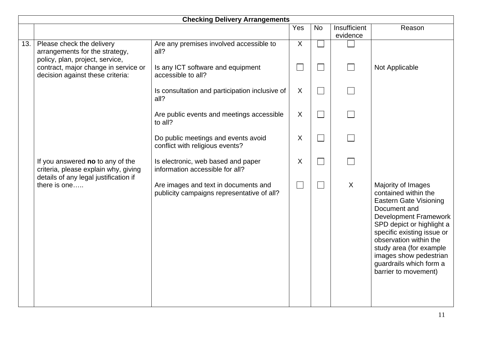|     | <b>Checking Delivery Arrangements</b>                                                                             |                                                                                    |                          |              |                          |                                                                                                                                                                                                                                                                                                                          |
|-----|-------------------------------------------------------------------------------------------------------------------|------------------------------------------------------------------------------------|--------------------------|--------------|--------------------------|--------------------------------------------------------------------------------------------------------------------------------------------------------------------------------------------------------------------------------------------------------------------------------------------------------------------------|
|     |                                                                                                                   |                                                                                    | Yes                      | <b>No</b>    | Insufficient<br>evidence | Reason                                                                                                                                                                                                                                                                                                                   |
| 13. | Please check the delivery<br>arrangements for the strategy,<br>policy, plan, project, service,                    | Are any premises involved accessible to<br>all?                                    | $\overline{X}$           |              |                          |                                                                                                                                                                                                                                                                                                                          |
|     | contract, major change in service or<br>decision against these criteria:                                          | Is any ICT software and equipment<br>accessible to all?                            | $\overline{\phantom{a}}$ |              |                          | Not Applicable                                                                                                                                                                                                                                                                                                           |
|     |                                                                                                                   | Is consultation and participation inclusive of<br>all?                             | X                        | $\mathbf{L}$ |                          |                                                                                                                                                                                                                                                                                                                          |
|     |                                                                                                                   | Are public events and meetings accessible<br>to all?                               | X                        |              |                          |                                                                                                                                                                                                                                                                                                                          |
|     |                                                                                                                   | Do public meetings and events avoid<br>conflict with religious events?             | $\mathsf{X}$             | $\sim$       |                          |                                                                                                                                                                                                                                                                                                                          |
|     | If you answered no to any of the<br>criteria, please explain why, giving<br>details of any legal justification if | Is electronic, web based and paper<br>information accessible for all?              | X                        |              |                          |                                                                                                                                                                                                                                                                                                                          |
|     | there is one                                                                                                      | Are images and text in documents and<br>publicity campaigns representative of all? | $\overline{\mathcal{L}}$ | $\sim$       | X                        | Majority of Images<br>contained within the<br><b>Eastern Gate Visioning</b><br>Document and<br><b>Development Framework</b><br>SPD depict or highlight a<br>specific existing issue or<br>observation within the<br>study area (for example<br>images show pedestrian<br>guardrails which form a<br>barrier to movement) |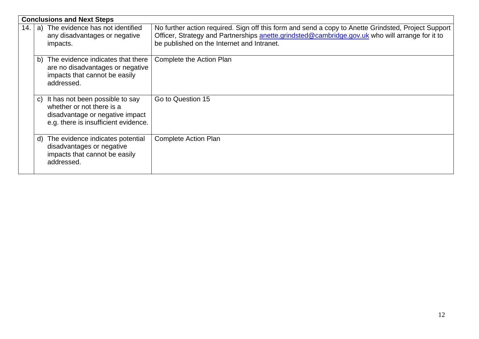|                                                                                                                                      |    | <b>Conclusions and Next Steps</b>                                                                                                          |                                                                                                                                                                                                        |
|--------------------------------------------------------------------------------------------------------------------------------------|----|--------------------------------------------------------------------------------------------------------------------------------------------|--------------------------------------------------------------------------------------------------------------------------------------------------------------------------------------------------------|
| a) The evidence has not identified<br>14.<br>any disadvantages or negative<br>be published on the Internet and Intranet.<br>impacts. |    |                                                                                                                                            | No further action required. Sign off this form and send a copy to Anette Grindsted, Project Support<br>Officer, Strategy and Partnerships anette.grindsted@cambridge.gov.uk who will arrange for it to |
|                                                                                                                                      |    | b) The evidence indicates that there<br>are no disadvantages or negative<br>impacts that cannot be easily<br>addressed.                    | Complete the Action Plan                                                                                                                                                                               |
|                                                                                                                                      |    | c) It has not been possible to say<br>whether or not there is a<br>disadvantage or negative impact<br>e.g. there is insufficient evidence. | Go to Question 15                                                                                                                                                                                      |
|                                                                                                                                      | d) | The evidence indicates potential<br>disadvantages or negative<br>impacts that cannot be easily<br>addressed.                               | <b>Complete Action Plan</b>                                                                                                                                                                            |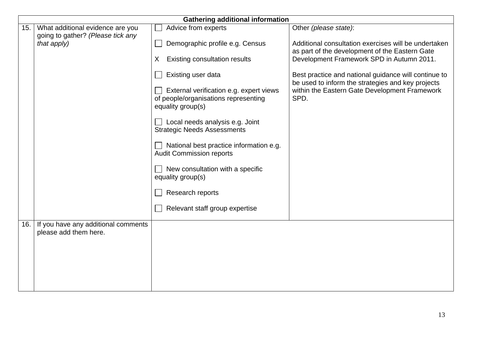|     | <b>Gathering additional information</b> |                                                       |                                                                                                    |  |  |
|-----|-----------------------------------------|-------------------------------------------------------|----------------------------------------------------------------------------------------------------|--|--|
| 15. | What additional evidence are you        | Advice from experts                                   | Other (please state):                                                                              |  |  |
|     | going to gather? (Please tick any       |                                                       |                                                                                                    |  |  |
|     | that apply)                             | Demographic profile e.g. Census                       | Additional consultation exercises will be undertaken                                               |  |  |
|     |                                         |                                                       | as part of the development of the Eastern Gate                                                     |  |  |
|     |                                         | <b>Existing consultation results</b><br>X             | Development Framework SPD in Autumn 2011.                                                          |  |  |
|     |                                         | Existing user data                                    | Best practice and national guidance will continue to                                               |  |  |
|     |                                         | External verification e.g. expert views               | be used to inform the strategies and key projects<br>within the Eastern Gate Development Framework |  |  |
|     |                                         | of people/organisations representing                  | SPD.                                                                                               |  |  |
|     |                                         | equality group(s)                                     |                                                                                                    |  |  |
|     |                                         | Local needs analysis e.g. Joint                       |                                                                                                    |  |  |
|     |                                         | <b>Strategic Needs Assessments</b>                    |                                                                                                    |  |  |
|     |                                         | National best practice information e.g.               |                                                                                                    |  |  |
|     |                                         | <b>Audit Commission reports</b>                       |                                                                                                    |  |  |
|     |                                         |                                                       |                                                                                                    |  |  |
|     |                                         | New consultation with a specific<br>equality group(s) |                                                                                                    |  |  |
|     |                                         |                                                       |                                                                                                    |  |  |
|     |                                         | Research reports                                      |                                                                                                    |  |  |
|     |                                         | Relevant staff group expertise                        |                                                                                                    |  |  |
|     |                                         |                                                       |                                                                                                    |  |  |
| 16. | If you have any additional comments     |                                                       |                                                                                                    |  |  |
|     | please add them here.                   |                                                       |                                                                                                    |  |  |
|     |                                         |                                                       |                                                                                                    |  |  |
|     |                                         |                                                       |                                                                                                    |  |  |
|     |                                         |                                                       |                                                                                                    |  |  |
|     |                                         |                                                       |                                                                                                    |  |  |
|     |                                         |                                                       |                                                                                                    |  |  |
|     |                                         |                                                       |                                                                                                    |  |  |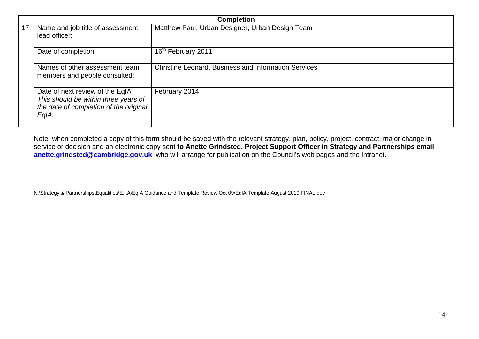|     | <b>Completion</b>                                                                                                          |                                                      |  |
|-----|----------------------------------------------------------------------------------------------------------------------------|------------------------------------------------------|--|
| 17. | Name and job title of assessment<br>lead officer:                                                                          | Matthew Paul, Urban Designer, Urban Design Team      |  |
|     | Date of completion:                                                                                                        | 16 <sup>th</sup> February 2011                       |  |
|     | Names of other assessment team<br>members and people consulted:                                                            | Christine Leonard, Business and Information Services |  |
|     | Date of next review of the EqIA<br>This should be within three years of<br>the date of completion of the original<br>EqIA. | February 2014                                        |  |

Note: when completed a copy of this form should be saved with the relevant strategy, plan, policy, project, contract, major change in service or decision and an electronic copy sent to Anette Grindsted, Project Support Officer in Strategy and Partnerships email **anette.grindsted@cambridge.gov.uk** who will arrange for publication on the Council's web pages and the Intranet**.** 

N:\Strategy & Partnerships\Equalities\E.I.A\EqIA Guidance and Template Review Oct 09\EqIA Template August 2010 FINAL.doc